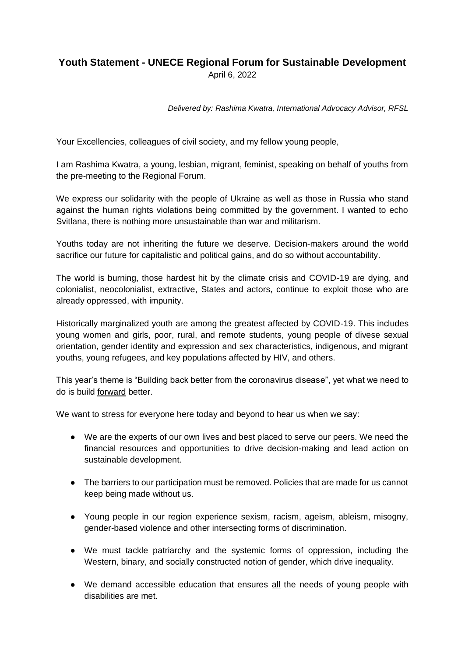## **Youth Statement - UNECE Regional Forum for Sustainable Development**

April 6, 2022

*Delivered by: Rashima Kwatra, International Advocacy Advisor, RFSL*

Your Excellencies, colleagues of civil society, and my fellow young people,

I am Rashima Kwatra, a young, lesbian, migrant, feminist, speaking on behalf of youths from the pre-meeting to the Regional Forum.

We express our solidarity with the people of Ukraine as well as those in Russia who stand against the human rights violations being committed by the government. I wanted to echo Svitlana, there is nothing more unsustainable than war and militarism.

Youths today are not inheriting the future we deserve. Decision-makers around the world sacrifice our future for capitalistic and political gains, and do so without accountability.

The world is burning, those hardest hit by the climate crisis and COVID-19 are dying, and colonialist, neocolonialist, extractive, States and actors, continue to exploit those who are already oppressed, with impunity.

Historically marginalized youth are among the greatest affected by COVID-19. This includes young women and girls, poor, rural, and remote students, young people of divese sexual orientation, gender identity and expression and sex characteristics, indigenous, and migrant youths, young refugees, and key populations affected by HIV, and others.

This year's theme is "Building back better from the coronavirus disease", yet what we need to do is build forward better.

We want to stress for everyone here today and beyond to hear us when we say:

- We are the experts of our own lives and best placed to serve our peers. We need the financial resources and opportunities to drive decision-making and lead action on sustainable development.
- The barriers to our participation must be removed. Policies that are made for us cannot keep being made without us.
- Young people in our region experience sexism, racism, ageism, ableism, misogny, gender-based violence and other intersecting forms of discrimination.
- We must tackle patriarchy and the systemic forms of oppression, including the Western, binary, and socially constructed notion of gender, which drive inequality.
- We demand accessible education that ensures all the needs of young people with disabilities are met.